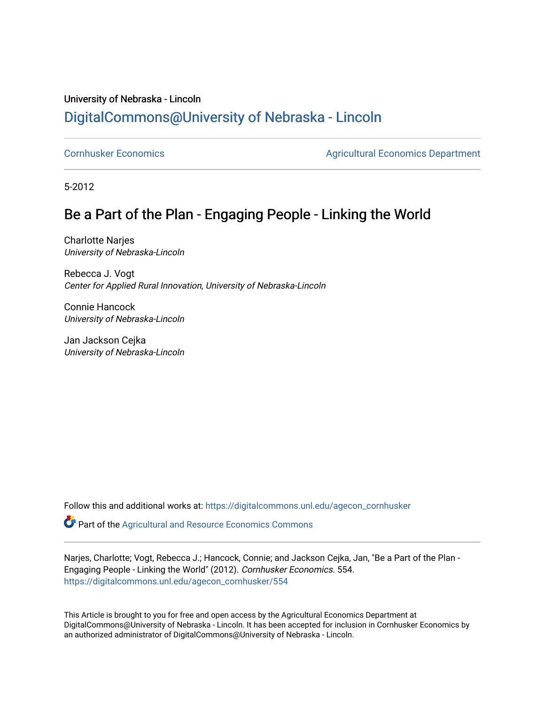## University of Nebraska - Lincoln [DigitalCommons@University of Nebraska - Lincoln](https://digitalcommons.unl.edu/)

[Cornhusker Economics](https://digitalcommons.unl.edu/agecon_cornhusker) **Agricultural Economics** Department

5-2012

# Be a Part of the Plan - Engaging People - Linking the World

Charlotte Narjes University of Nebraska-Lincoln

Rebecca J. Vogt Center for Applied Rural Innovation, University of Nebraska-Lincoln

Connie Hancock University of Nebraska-Lincoln

Jan Jackson Cejka University of Nebraska-Lincoln

Follow this and additional works at: [https://digitalcommons.unl.edu/agecon\\_cornhusker](https://digitalcommons.unl.edu/agecon_cornhusker?utm_source=digitalcommons.unl.edu%2Fagecon_cornhusker%2F554&utm_medium=PDF&utm_campaign=PDFCoverPages) 

**C** Part of the Agricultural and Resource Economics Commons

Narjes, Charlotte; Vogt, Rebecca J.; Hancock, Connie; and Jackson Cejka, Jan, "Be a Part of the Plan - Engaging People - Linking the World" (2012). Cornhusker Economics. 554. [https://digitalcommons.unl.edu/agecon\\_cornhusker/554](https://digitalcommons.unl.edu/agecon_cornhusker/554?utm_source=digitalcommons.unl.edu%2Fagecon_cornhusker%2F554&utm_medium=PDF&utm_campaign=PDFCoverPages) 

This Article is brought to you for free and open access by the Agricultural Economics Department at DigitalCommons@University of Nebraska - Lincoln. It has been accepted for inclusion in Cornhusker Economics by an authorized administrator of DigitalCommons@University of Nebraska - Lincoln.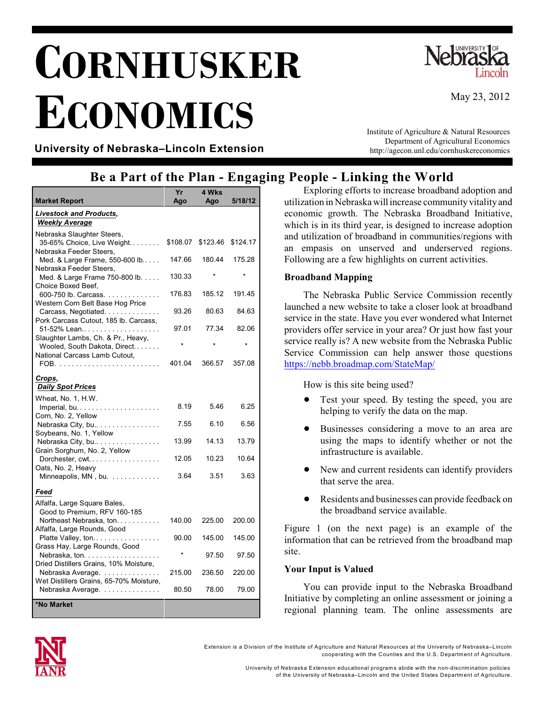# **CORNHUSKER ECONOMICS**



May 23, 2012

**University of Nebraska–Lincoln Extension**

Institute of Agriculture & Natural Resources Department of Agricultural Economics http://agecon.unl.edu/cornhuskereconomics

### **Be a Part of the Plan - Engaging People - Linking the World**

|                                                                                          | Yr       | 4 Wks    |          |
|------------------------------------------------------------------------------------------|----------|----------|----------|
| <b>Market Report</b>                                                                     | Ago      | Ago      | 5/18/12  |
| <b>Livestock and Products,</b><br><b>Weekly Average</b>                                  |          |          |          |
| Nebraska Slaughter Steers,<br>35-65% Choice, Live Weight<br>Nebraska Feeder Steers,      | \$108.07 | \$123.46 | \$124.17 |
| Med. & Large Frame, 550-600 lb<br>Nebraska Feeder Steers,                                | 147.66   | 180.44   | 175.28   |
| Med. & Large Frame 750-800 lb.<br>Choice Boxed Beef.                                     | 130.33   |          |          |
| 600-750 lb. Carcass.<br>Western Corn Belt Base Hog Price                                 | 176.83   | 185.12   | 191.45   |
| Carcass, Negotiated.<br>Pork Carcass Cutout, 185 lb. Carcass,                            | 93.26    | 80.63    | 84.63    |
| 51-52% Lean<br>Slaughter Lambs, Ch. & Pr., Heavy,                                        | 97.01    | 77.34    | 82.06    |
| Wooled, South Dakota, Direct<br>National Carcass Lamb Cutout.                            | ÷        |          |          |
|                                                                                          | 401.04   | 366.57   | 357.08   |
| Crops,<br><b>Daily Spot Prices</b>                                                       |          |          |          |
| Wheat, No. 1, H.W.                                                                       | 8.19     | 5.46     | 6.25     |
| Corn, No. 2, Yellow<br>Nebraska City, bu                                                 | 7.55     | 6.10     | 6.56     |
| Soybeans, No. 1, Yellow<br>Nebraska City, bu                                             | 13.99    | 14.13    | 13.79    |
| Grain Sorghum, No. 2, Yellow<br>Dorchester, cwt                                          | 12.05    | 10.23    | 10.64    |
| Oats, No. 2, Heavy<br>Minneapolis, MN, bu.                                               | 3.64     | 3.51     | 3.63     |
| Feed                                                                                     |          |          |          |
| Alfalfa, Large Square Bales,<br>Good to Premium, RFV 160-185<br>Northeast Nebraska, ton. | 140.00   | 225.00   | 200.00   |
| Alfalfa, Large Rounds, Good<br>Platte Valley, ton                                        | 90.00    | 145.00   | 145.00   |
| .<br>Grass Hay, Large Rounds, Good<br>Nebraska, ton.                                     |          | 97.50    | 97.50    |
| Dried Distillers Grains, 10% Moisture,<br>Nebraska Average.                              | 215.00   | 236.50   | 220.00   |
| Wet Distillers Grains, 65-70% Moisture,<br>Nebraska Average.                             | 80.50    | 78.00    | 79.00    |
|                                                                                          |          |          |          |
| *No Market                                                                               |          |          |          |

Exploring efforts to increase broadband adoption and utilization in Nebraska will increase community vitality and economic growth. The Nebraska Broadband Initiative, which is in its third year, is designed to increase adoption and utilization of broadband in communities/regions with an empasis on unserved and underserved regions. Following are a few highlights on current activities.

#### **Broadband Mapping**

The Nebraska Public Service Commission recently launched a new website to take a closer look at broadband service in the state. Have you ever wondered what Internet providers offer service in your area? Or just how fast your service really is? A new website from the Nebraska Public Service Commission can help answer those questions <https://nebb.broadmap.com/StateMap/>

How is this site being used?

- Test your speed. By testing the speed, you are helping to verify the data on the map.
- ! Businesses considering a move to an area are using the maps to identify whether or not the infrastructure is available.
- New and current residents can identify providers that serve the area.
- Residents and businesses can provide feedback on the broadband service available.

Figure 1 (on the next page) is an example of the information that can be retrieved from the broadband map site.

#### **Your Input is Valued**

You can provide input to the Nebraska Broadband Initiative by completing an online assessment or joining a regional planning team. The online assessments are



Extension is a Division of the Institute of Agriculture and Natural Resources at the University of Nebraska–Lincoln cooperating with the Counties and the U.S. Departm ent of Agriculture.

> University of Nebraska Extension educational program s abide with the non-discrim ination policies of the University of Nebraska–Lincoln and the United States Departm ent of Agriculture.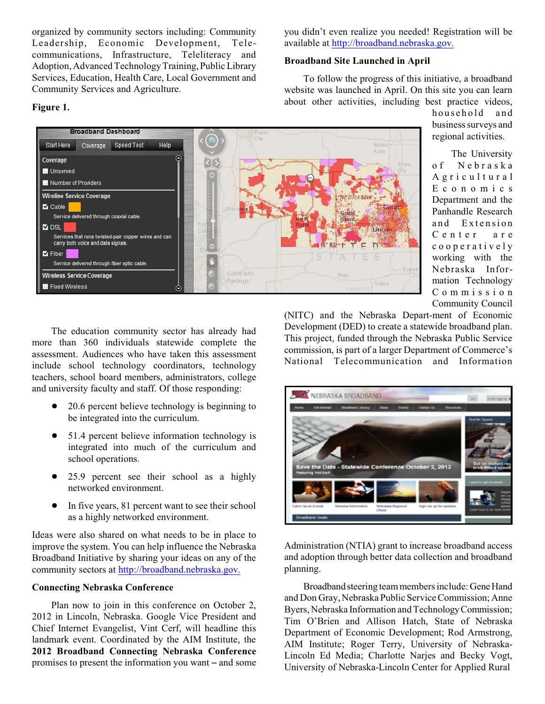organized by community sectors including: Community Leadership, Economic Development, Telecommunications, Infrastructure, Teleliteracy and Adoption, Advanced TechnologyTraining, PublicLibrary Services, Education, Health Care, Local Government and Community Services and Agriculture.

#### **Figure 1.**

you didn't even realize you needed! Registration will be available at [http://broadband.nebraska.gov.](http://broadband.nebraska.gov)

#### **Broadband Site Launched in April**

To follow the progress of this initiative, a broadband website was launched in April. On this site you can learn about other activities, including best practice videos,

household and business surveys and regional activities.

The University o f N e b r a s k a A g r i c u l t u r a l E c o n o m i c s Department and the Panhandle Research and Extension C e n t e r a r e c o o p e r a t i v e l y working with the Nebraska Information Technology C o m m i s s i o n Community Council

The education community sector has already had more than 360 individuals statewide complete the assessment. Audiences who have taken this assessment include school technology coordinators, technology teachers, school board members, administrators, college and university faculty and staff. Of those responding:

- 20.6 percent believe technology is beginning to be integrated into the curriculum.
- 51.4 percent believe information technology is integrated into much of the curriculum and school operations.
- ! 25.9 percent see their school as a highly networked environment.
- In five years, 81 percent want to see their school as a highly networked environment.

Ideas were also shared on what needs to be in place to improve the system. You can help influence the Nebraska Broadband Initiative by sharing your ideas on any of the community sectors at [http://broadband.nebraska.gov.](http://broadband.nebraska.gov)

#### **Connecting Nebraska Conference**

Plan now to join in this conference on October 2, 2012 in Lincoln, Nebraska. Google Vice President and Chief Internet Evangelist, Vint Cerf, will headline this landmark event. Coordinated by the AIM Institute, the **2012 Broadband Connecting Nebraska Conference** promises to present the information you want – and some (NITC) and the Nebraska Depart-ment of Economic Development (DED) to create a statewide broadband plan. This project, funded through the Nebraska Public Service commission, is part of a larger Department of Commerce's National Telecommunication and Information

NEBRASKA BROADBAND

Designation of the local division in



de Conference October 2, 2012

Broadband steering team members include: Gene Hand and Don Gray, Nebraska Public Service Commission; Anne Byers, Nebraska Information and Technology Commission; Tim O'Brien and Allison Hatch, State of Nebraska Department of Economic Development; Rod Armstrong, AIM Institute; Roger Terry, University of Nebraska-Lincoln Ed Media; Charlotte Narjes and Becky Vogt, University of Nebraska-Lincoln Center for Applied Rural